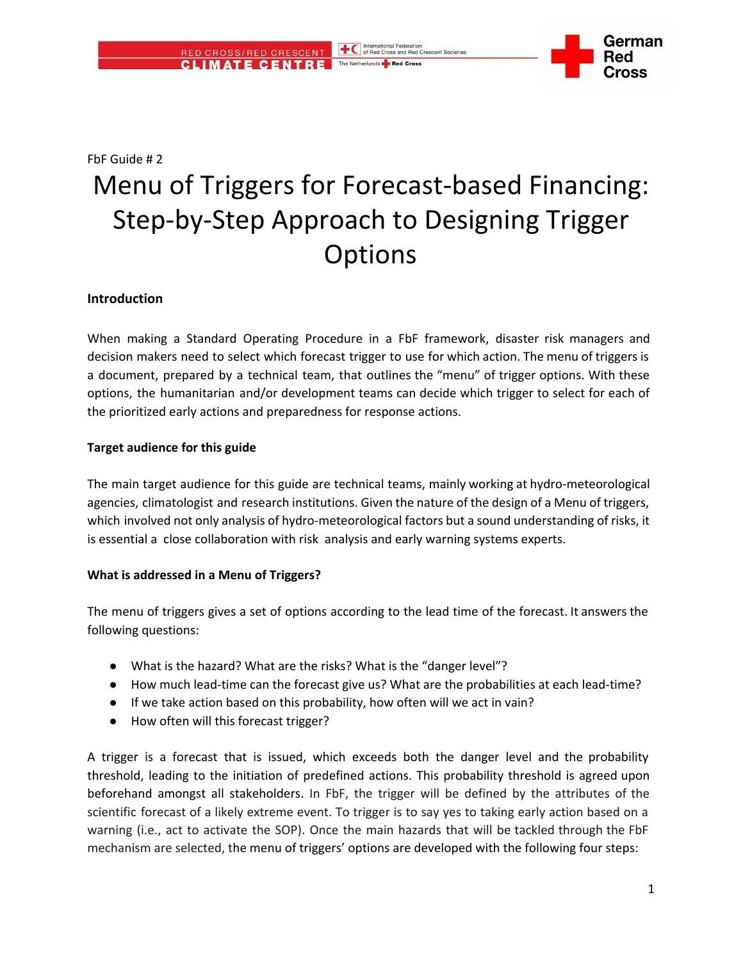

FbF Guide # 2

# Menu of Triggers for Forecast-based Financing: Step-by-Step Approach to Designing Trigger **Options**

### **Introduction**

When making a Standard Operating Procedure in a FbF framework, disaster risk managers and decision makers need to select which forecast trigger to use for which action. The menu of triggers is a document, prepared by a technical team, that outlines the "menu" of trigger options. With these options, the humanitarian and/or development teams can decide which trigger to select for each of the prioritized early actions and preparedness for response actions.

### **Target audience for this guide**

The main target audience for this guide are technical teams, mainly working at hydro-meteorological agencies, climatologist and research institutions. Given the nature of the design of a Menu of triggers, which involved not only analysis of hydro-meteorological factors but a sound understanding of risks, it is essential a close collaboration with risk analysis and early warning systems experts.

#### **What is addressed in a Menu of Triggers?**

The menu of triggers gives a set of options according to the lead time of the forecast. It answers the following questions:

- What is the hazard? What are the risks? What is the "danger level"?
- How much lead-time can the forecast give us? What are the probabilities at each lead-time?
- If we take action based on this probability, how often will we act in vain?
- How often will this forecast trigger?

A trigger is a forecast that is issued, which exceeds both the danger level and the probability threshold, leading to the initiation of predefined actions. This probability threshold is agreed upon beforehand amongst all stakeholders. In FbF, the trigger will be defined by the attributes of the scientific forecast of a likely extreme event. To trigger is to say yes to taking early action based on a warning (i.e., act to activate the SOP). Once the main hazards that will be tackled through the FbF mechanism are selected, the menu of triggers' options are developed with the following four steps: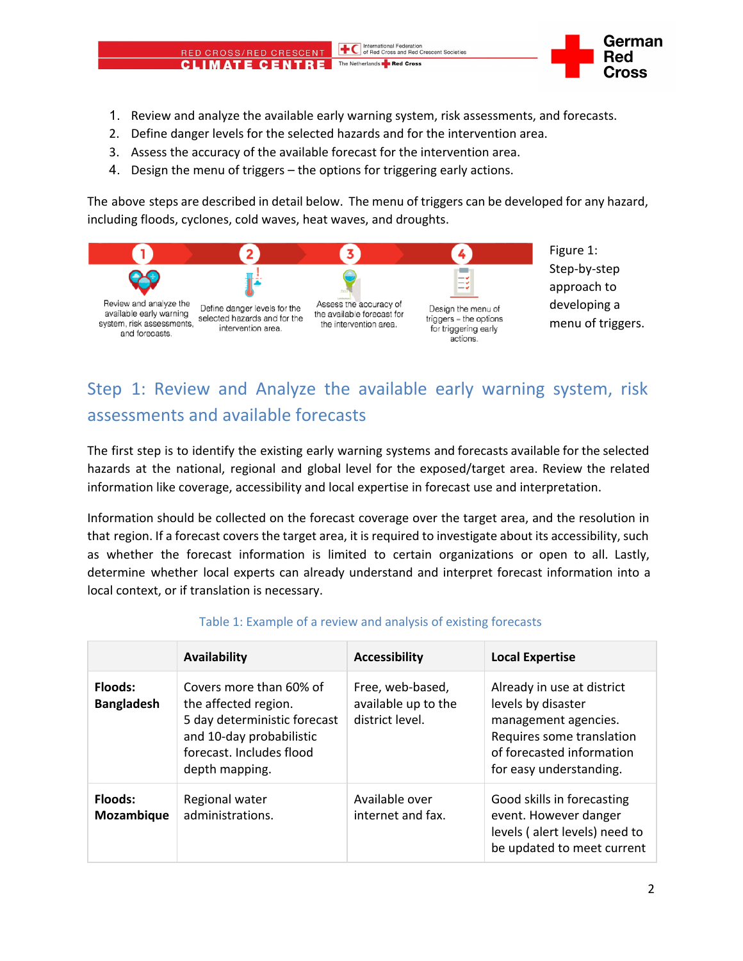### 1. Review and analyze the available early warning system, risk assessments, and forecasts.

The Netherlands **Red Cross** 

International Federation<br>
of Red Cross and Red Crescent Societies

- 2. Define danger levels for the selected hazards and for the intervention area.
- 3. Assess the accuracy of the available forecast for the intervention area.
- 4. Design the menu of triggers the options for triggering early actions.

RED CROSS/RED CRESCENT **CLIMATE CENTRE** 

The above steps are described in detail below. The menu of triggers can be developed for any hazard, including floods, cyclones, cold waves, heat waves, and droughts.



## Step 1: Review and Analyze the available early warning system, risk assessments and available forecasts

The first step is to identify the existing early warning systems and forecasts available for the selected hazards at the national, regional and global level for the exposed/target area. Review the related information like coverage, accessibility and local expertise in forecast use and interpretation.

Information should be collected on the forecast coverage over the target area, and the resolution in that region. If a forecast covers the target area, it is required to investigate about its accessibility, such as whether the forecast information is limited to certain organizations or open to all. Lastly, determine whether local experts can already understand and interpret forecast information into a local context, or if translation is necessary.

|                              | Availability                                                                                                                                              | <b>Accessibility</b>                                       | <b>Local Expertise</b>                                                                                                                                        |
|------------------------------|-----------------------------------------------------------------------------------------------------------------------------------------------------------|------------------------------------------------------------|---------------------------------------------------------------------------------------------------------------------------------------------------------------|
| Floods:<br><b>Bangladesh</b> | Covers more than 60% of<br>the affected region.<br>5 day deterministic forecast<br>and 10-day probabilistic<br>forecast. Includes flood<br>depth mapping. | Free, web-based,<br>available up to the<br>district level. | Already in use at district<br>levels by disaster<br>management agencies.<br>Requires some translation<br>of forecasted information<br>for easy understanding. |
| Floods:<br>Mozambique        | Regional water<br>administrations.                                                                                                                        | Available over<br>internet and fax.                        | Good skills in forecasting<br>event. However danger<br>levels (alert levels) need to<br>be updated to meet current                                            |

#### Table 1: Example of a review and analysis of existing forecasts

ross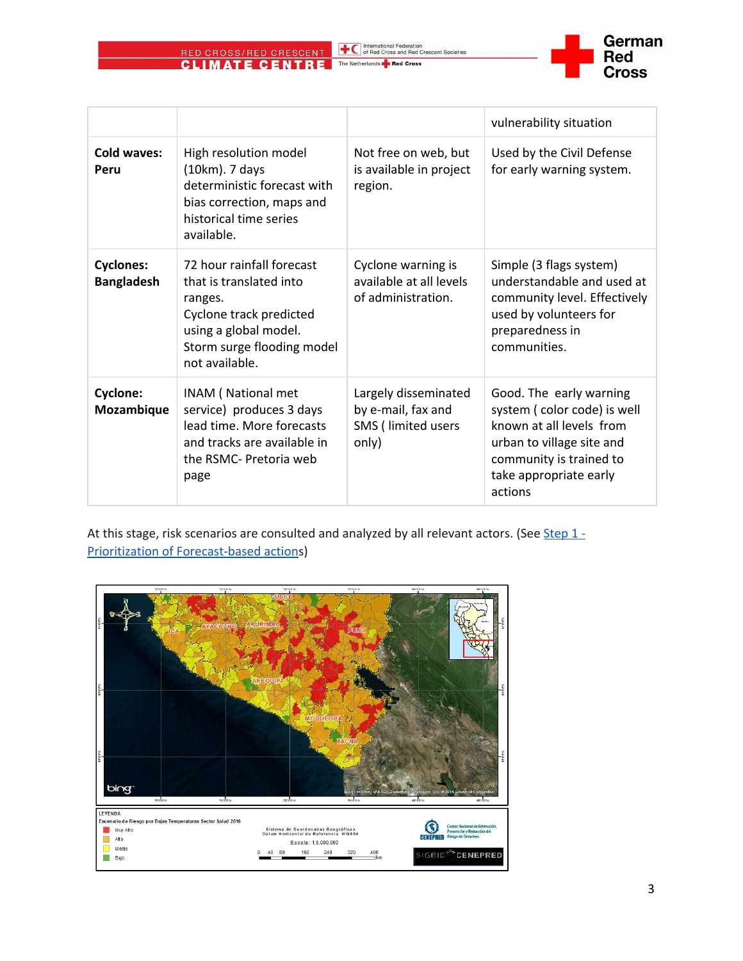

|                                       |                                                                                                                                                                     |                                                                           | vulnerability situation                                                                                                                                                         |
|---------------------------------------|---------------------------------------------------------------------------------------------------------------------------------------------------------------------|---------------------------------------------------------------------------|---------------------------------------------------------------------------------------------------------------------------------------------------------------------------------|
| Cold waves:<br>Peru                   | High resolution model<br>(10km). 7 days<br>deterministic forecast with<br>bias correction, maps and<br>historical time series<br>available.                         | Not free on web, but<br>is available in project<br>region.                | Used by the Civil Defense<br>for early warning system.                                                                                                                          |
| <b>Cyclones:</b><br><b>Bangladesh</b> | 72 hour rainfall forecast<br>that is translated into<br>ranges.<br>Cyclone track predicted<br>using a global model.<br>Storm surge flooding model<br>not available. | Cyclone warning is<br>available at all levels<br>of administration.       | Simple (3 flags system)<br>understandable and used at<br>community level. Effectively<br>used by volunteers for<br>preparedness in<br>communities.                              |
| <b>Cyclone:</b><br>Mozambique         | INAM (National met<br>service) produces 3 days<br>lead time. More forecasts<br>and tracks are available in<br>the RSMC- Pretoria web<br>page                        | Largely disseminated<br>by e-mail, fax and<br>SMS (limited users<br>only) | Good. The early warning<br>system (color code) is well<br>known at all levels from<br>urban to village site and<br>community is trained to<br>take appropriate early<br>actions |

At this stage, risk scenarios are consulted and analyzed by all relevant actors. (See [Step 1 -](/fileadmin/Content/Manual_FbF/05_Priorization/05_Prioritization_of_Forecast-Based_Actionsguide_2.pdf) [Prioritization of Forecast-based actions](/fileadmin/Content/Manual_FbF/05_Priorization/05_Prioritization_of_Forecast-Based_Actionsguide_2.pdf))

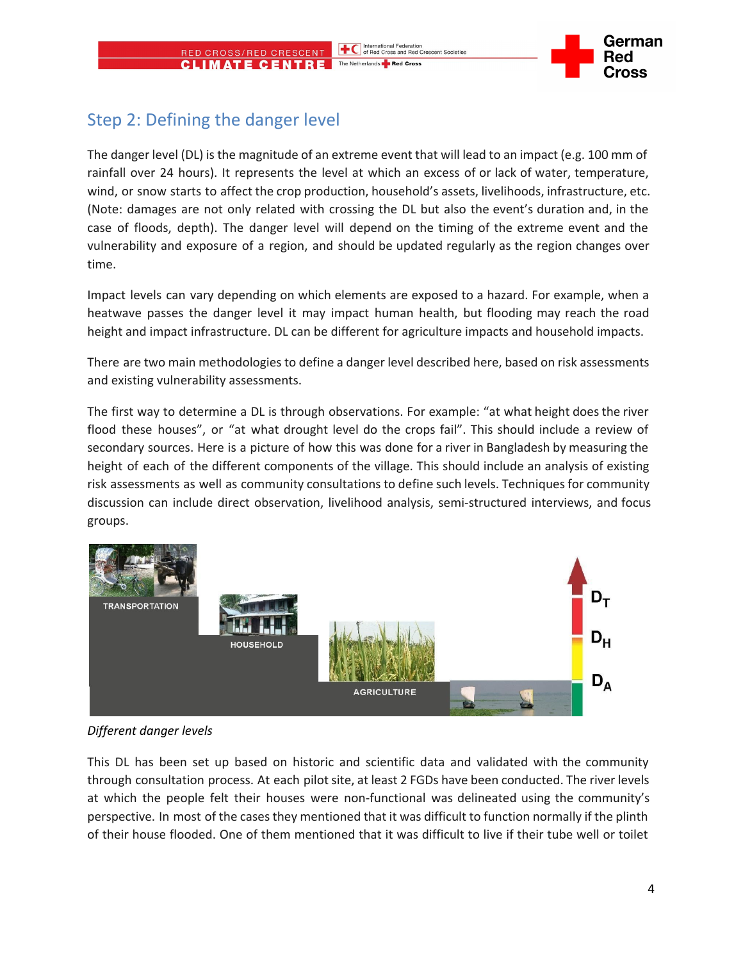### Step 2: Defining the danger level

RED CROSS/RED CRESCENT **CLIMATE CENTRE** 

The danger level (DL) is the magnitude of an extreme event that will lead to an impact (e.g. 100 mm of rainfall over 24 hours). It represents the level at which an excess of or lack of water, temperature, wind, or snow starts to affect the crop production, household's assets, livelihoods, infrastructure, etc. (Note: damages are not only related with crossing the DL but also the event's duration and, in the case of floods, depth). The danger level will depend on the timing of the extreme event and the vulnerability and exposure of a region, and should be updated regularly as the region changes over time.

Impact levels can vary depending on which elements are exposed to a hazard. For example, when a heatwave passes the danger level it may impact human health, but flooding may reach the road height and impact infrastructure. DL can be different for agriculture impacts and household impacts.

There are two main methodologies to define a danger level described here, based on risk assessments and existing vulnerability assessments.

The first way to determine a DL is through observations. For example: "at what height does the river flood these houses", or "at what drought level do the crops fail". This should include a review of secondary sources. Here is a picture of how this was done for a river in Bangladesh by measuring the height of each of the different components of the village. This should include an analysis of existing risk assessments as well as community consultations to define such levels. Techniques for community discussion can include direct observation, livelihood analysis, semi-structured interviews, and focus groups.



### *Different danger levels*

This DL has been set up based on historic and scientific data and validated with the community through consultation process. At each pilot site, at least 2 FGDs have been conducted. The river levels at which the people felt their houses were non-functional was delineated using the community's perspective. In most of the cases they mentioned that it was difficult to function normally if the plinth of their house flooded. One of them mentioned that it was difficult to live if their tube well or toilet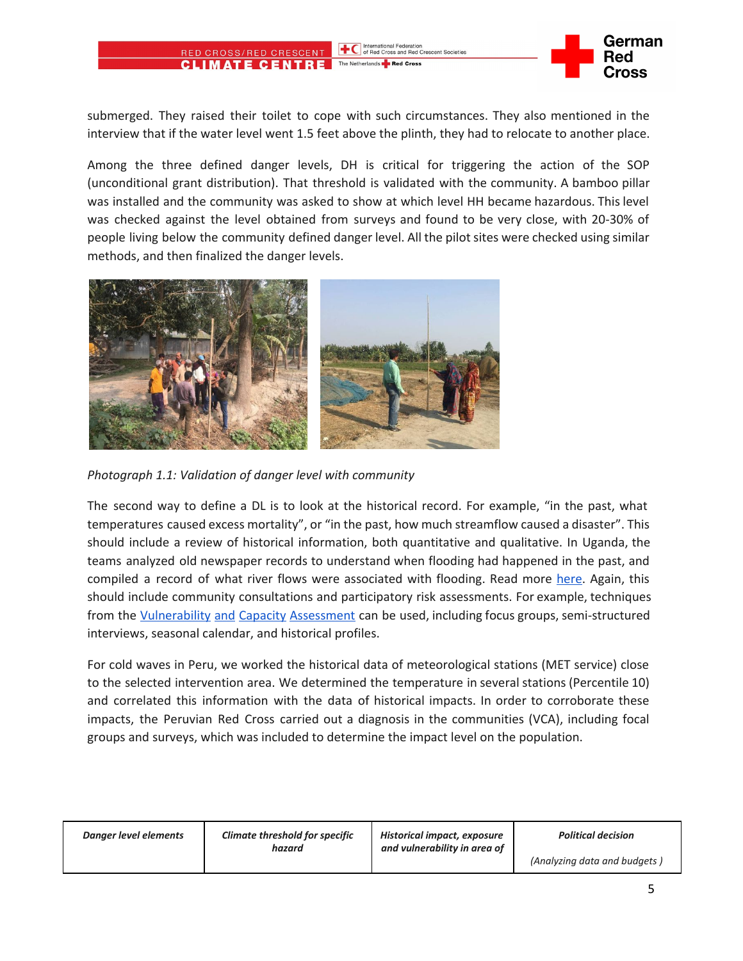#### International Federation<br>
of Red Cross and Red Crescent Societies **IMATE CENTRE** The Netherlands **P** Red Cross



submerged. They raised their toilet to cope with such circumstances. They also mentioned in the interview that if the water level went 1.5 feet above the plinth, they had to relocate to another place.

Among the three defined danger levels, DH is critical for triggering the action of the SOP (unconditional grant distribution). That threshold is validated with the community. A bamboo pillar was installed and the community was asked to show at which level HH became hazardous. This level was checked against the level obtained from surveys and found to be very close, with 20-30% of people living below the community defined danger level. All the pilot sites were checked using similar methods, and then finalized the danger levels.



*Photograph 1.1: Validation of danger level with community*

RED CROSS/RED CRESCENT

The second way to define a DL is to look at the historical record. For example, "in the past, what temperatures caused excess mortality", or "in the past, how much streamflow caused a disaster". This should include a review of historical information, both quantitative and qualitative. In Uganda, the teams analyzed old newspaper records to understand when flooding had happened in the past, and compiled a record of what river flows were associated with flooding. Read more [here.](http://www.hydrol-earth-syst-sci.net/20/3549/2016/hess-20-3549-2016.pdf) Again, this should include community consultations and participatory risk assessments. For example, techniques from the [Vulnerability](http://www.ifrc.org/vca) and Capacity Assessment can be used, including focus groups, semi-structured interviews, seasonal calendar, and historical profiles.

For cold waves in Peru, we worked the historical data of meteorological stations (MET service) close to the selected intervention area. We determined the temperature in several stations (Percentile 10) and correlated this information with the data of historical impacts. In order to corroborate these impacts, the Peruvian Red Cross carried out a diagnosis in the communities (VCA), including focal groups and surveys, which was included to determine the impact level on the population.

| Danger level elements | <b>Climate threshold for specific</b><br>hazard | Historical impact, exposure<br>and vulnerability in area of | <b>Political decision</b>    |
|-----------------------|-------------------------------------------------|-------------------------------------------------------------|------------------------------|
|                       |                                                 |                                                             | (Analyzing data and budgets) |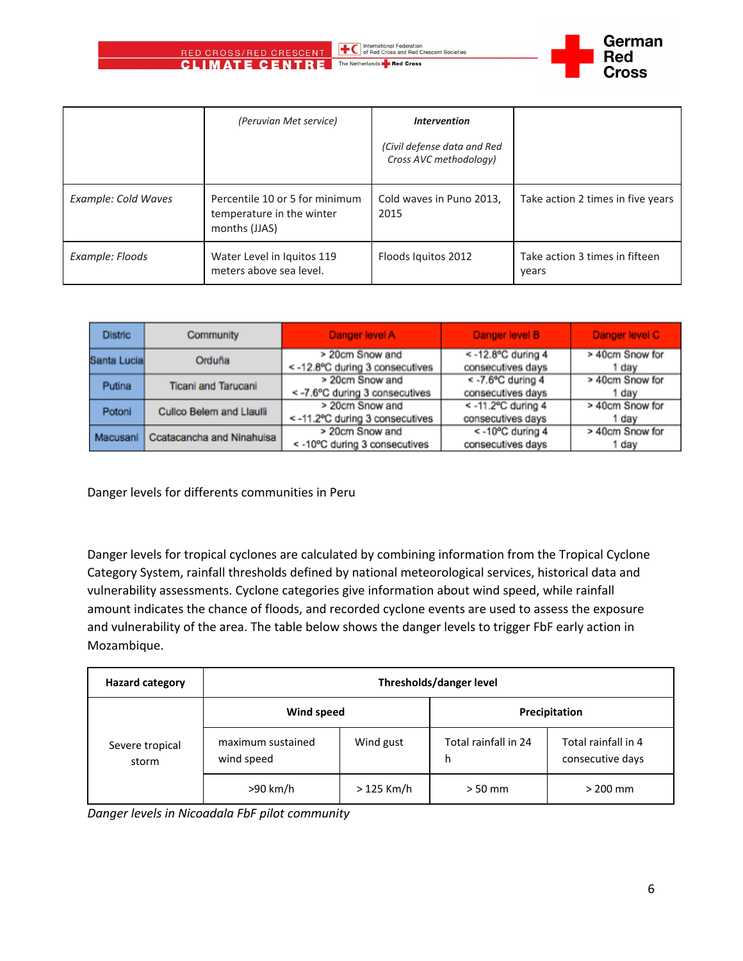

International Federation<br>of Red Cross and Red Crescent Societies



|                     | (Peruvian Met service)                                                       | <b>Intervention</b>                                   |                                         |
|---------------------|------------------------------------------------------------------------------|-------------------------------------------------------|-----------------------------------------|
|                     |                                                                              | (Civil defense data and Red<br>Cross AVC methodology) |                                         |
| Example: Cold Waves | Percentile 10 or 5 for minimum<br>temperature in the winter<br>months (JJAS) | Cold waves in Puno 2013,<br>2015                      | Take action 2 times in five years       |
| Example: Floods     | Water Level in Iquitos 119<br>meters above sea level.                        | Floods Iquitos 2012                                   | Take action 3 times in fifteen<br>years |

| <b>Distric</b> | Community                        | Danger level A                                     | Danger level B                               | Danger level C           |
|----------------|----------------------------------|----------------------------------------------------|----------------------------------------------|--------------------------|
| Santa Lucia    | Orduña                           | > 20cm Snow and<br><- 12.8°C during 3 consecutives | $\leq$ -12.8°C during 4<br>consecutives days | > 40cm Snow for<br>dav   |
| Putina         | <b>Ticani and Tarucani</b>       | > 20cm Snow and<br><-7.6°C during 3 consecutives   | $\leq$ -7.6°C during 4<br>consecutives days  | > 40cm Snow for<br>day   |
| Potoni         | Cullco Belem and Liaulii         | > 20cm Snow and<br><-11.2°C during 3 consecutives  | $<$ -11.2°C during 4<br>consecutives days    | > 40cm Snow for<br>l day |
| Macusani       | <b>Ccatacancha and Ninahuisa</b> | > 20cm Snow and<br><- 10°C during 3 consecutives   | <-10°C during 4<br>consecutives days         | > 40cm Snow for<br>day   |

Danger levels for differents communities in Peru

Danger levels for tropical cyclones are calculated by combining information from the Tropical Cyclone Category System, rainfall thresholds defined by national meteorological services, historical data and vulnerability assessments. Cyclone categories give information about wind speed, while rainfall amount indicates the chance of floods, and recorded cyclone events are used to assess the exposure and vulnerability of the area. The table below shows the danger levels to trigger FbF early action in Mozambique.

| <b>Hazard category</b>   | Thresholds/danger level         |             |                           |                                         |
|--------------------------|---------------------------------|-------------|---------------------------|-----------------------------------------|
|                          | Wind speed                      |             | Precipitation             |                                         |
| Severe tropical<br>storm | maximum sustained<br>wind speed | Wind gust   | Total rainfall in 24<br>h | Total rainfall in 4<br>consecutive days |
|                          | >90 km/h                        | $>125$ Km/h | $> 50$ mm                 | $>$ 200 mm                              |

*Danger levels in Nicoadala FbF pilot community*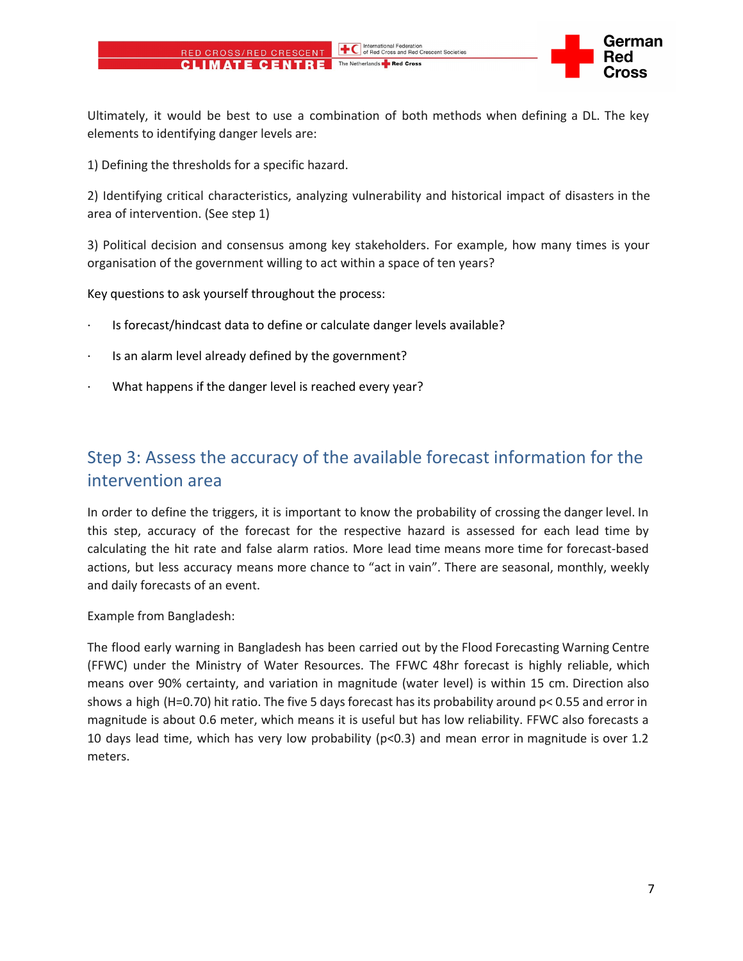Ultimately, it would be best to use a combination of both methods when defining a DL. The key elements to identifying danger levels are:

1) Defining the thresholds for a specific hazard.

RED CROSS/RED CRESCENT **CLIMATE CENTRE** 

2) Identifying critical characteristics, analyzing vulnerability and historical impact of disasters in the area of intervention. (See step 1)

3) Political decision and consensus among key stakeholders. For example, how many times is your organisation of the government willing to act within a space of ten years?

Key questions to ask yourself throughout the process:

- · Is forecast/hindcast data to define or calculate danger levels available?
- Is an alarm level already defined by the government?
- What happens if the danger level is reached every year?

### Step 3: Assess the accuracy of the available forecast information for the intervention area

In order to define the triggers, it is important to know the probability of crossing the danger level. In this step, accuracy of the forecast for the respective hazard is assessed for each lead time by calculating the hit rate and false alarm ratios. More lead time means more time for forecast-based actions, but less accuracy means more chance to "act in vain". There are seasonal, monthly, weekly and daily forecasts of an event.

Example from Bangladesh:

The flood early warning in Bangladesh has been carried out by the Flood Forecasting Warning Centre (FFWC) under the Ministry of Water Resources. The FFWC 48hr forecast is highly reliable, which means over 90% certainty, and variation in magnitude (water level) is within 15 cm. Direction also shows a high (H=0.70) hit ratio. The five 5 days forecast has its probability around p< 0.55 and error in magnitude is about 0.6 meter, which means it is useful but has low reliability. FFWC also forecasts a 10 days lead time, which has very low probability (p<0.3) and mean error in magnitude is over 1.2 meters.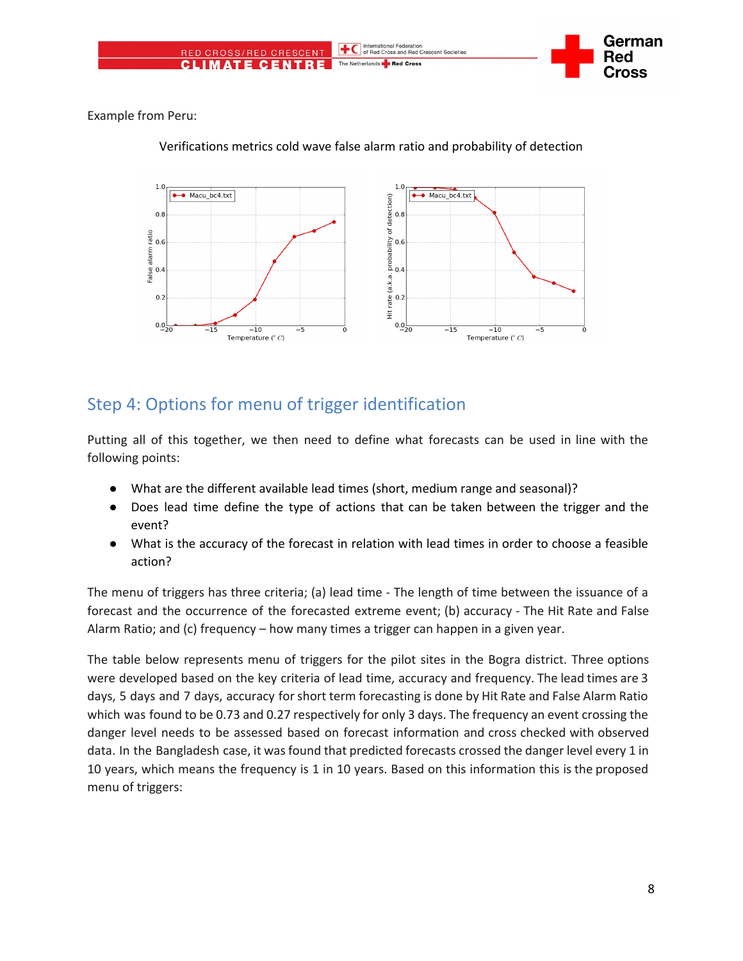

Example from Peru:



Verifications metrics cold wave false alarm ratio and probability of detection

### Step 4: Options for menu of trigger identification

Putting all of this together, we then need to define what forecasts can be used in line with the following points:

- What are the different available lead times (short, medium range and seasonal)?
- Does lead time define the type of actions that can be taken between the trigger and the event?
- What is the accuracy of the forecast in relation with lead times in order to choose a feasible action?

The menu of triggers has three criteria; (a) lead time - The length of time between the issuance of a forecast and the occurrence of the forecasted extreme event; (b) accuracy - The Hit Rate and False Alarm Ratio; and (c) frequency – how many times a trigger can happen in a given year.

The table below represents menu of triggers for the pilot sites in the Bogra district. Three options were developed based on the key criteria of lead time, accuracy and frequency. The lead times are 3 days, 5 days and 7 days, accuracy for short term forecasting is done by Hit Rate and False Alarm Ratio which was found to be 0.73 and 0.27 respectively for only 3 days. The frequency an event crossing the danger level needs to be assessed based on forecast information and cross checked with observed data. In the Bangladesh case, it was found that predicted forecasts crossed the danger level every 1 in 10 years, which means the frequency is 1 in 10 years. Based on this information this is the proposed menu of triggers: